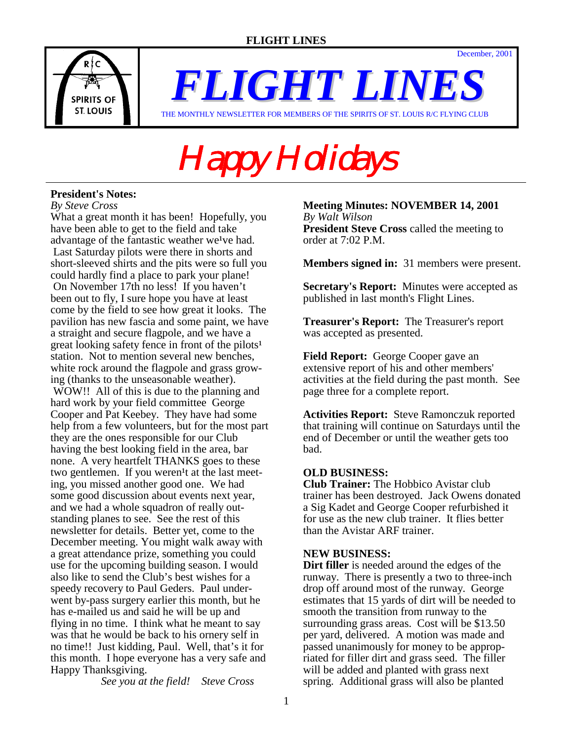December, 2001



*FLIGHT LINES* THE MONTHLY NEWSLETTER FOR MEMBERS OF THE SPIRITS OF ST. LOUIS R/C FLYING CLUB

# Happy Holidays

## **President's Notes:**

*By Steve Cross*

What a great month it has been! Hopefully, you have been able to get to the field and take advantage of the fantastic weather we<sup>1</sup>ve had. Last Saturday pilots were there in shorts and short-sleeved shirts and the pits were so full you could hardly find a place to park your plane! On November 17th no less! If you haven't been out to fly, I sure hope you have at least come by the field to see how great it looks. The pavilion has new fascia and some paint, we have a straight and secure flagpole, and we have a great looking safety fence in front of the pilots<sup>1</sup> station. Not to mention several new benches, white rock around the flagpole and grass growing (thanks to the unseasonable weather). WOW!! All of this is due to the planning and hard work by your field committee George Cooper and Pat Keebey. They have had some help from a few volunteers, but for the most part they are the ones responsible for our Club having the best looking field in the area, bar none. A very heartfelt THANKS goes to these two gentlemen. If you weren<sup>1</sup>t at the last meeting, you missed another good one. We had some good discussion about events next year, and we had a whole squadron of really outstanding planes to see. See the rest of this newsletter for details. Better yet, come to the December meeting. You might walk away with a great attendance prize, something you could use for the upcoming building season. I would also like to send the Club's best wishes for a speedy recovery to Paul Geders. Paul underwent by-pass surgery earlier this month, but he has e-mailed us and said he will be up and flying in no time. I think what he meant to say was that he would be back to his ornery self in no time!! Just kidding, Paul. Well, that's it for this month. I hope everyone has a very safe and Happy Thanksgiving.

*See you at the field! Steve Cross*

#### **Meeting Minutes: NOVEMBER 14, 2001**  *By Walt Wilson* **President Steve Cross** called the meeting to order at 7:02 P.M.

**Members signed in:** 31 members were present.

**Secretary's Report:** Minutes were accepted as published in last month's Flight Lines.

**Treasurer's Report:** The Treasurer's report was accepted as presented.

**Field Report:** George Cooper gave an extensive report of his and other members' activities at the field during the past month. See page three for a complete report.

**Activities Report:** Steve Ramonczuk reported that training will continue on Saturdays until the end of December or until the weather gets too bad.

## **OLD BUSINESS:**

**Club Trainer:** The Hobbico Avistar club trainer has been destroyed. Jack Owens donated a Sig Kadet and George Cooper refurbished it for use as the new club trainer. It flies better than the Avistar ARF trainer.

## **NEW BUSINESS:**

**Dirt filler** is needed around the edges of the runway. There is presently a two to three-inch drop off around most of the runway. George estimates that 15 yards of dirt will be needed to smooth the transition from runway to the surrounding grass areas. Cost will be \$13.50 per yard, delivered. A motion was made and passed unanimously for money to be appropriated for filler dirt and grass seed. The filler will be added and planted with grass next spring. Additional grass will also be planted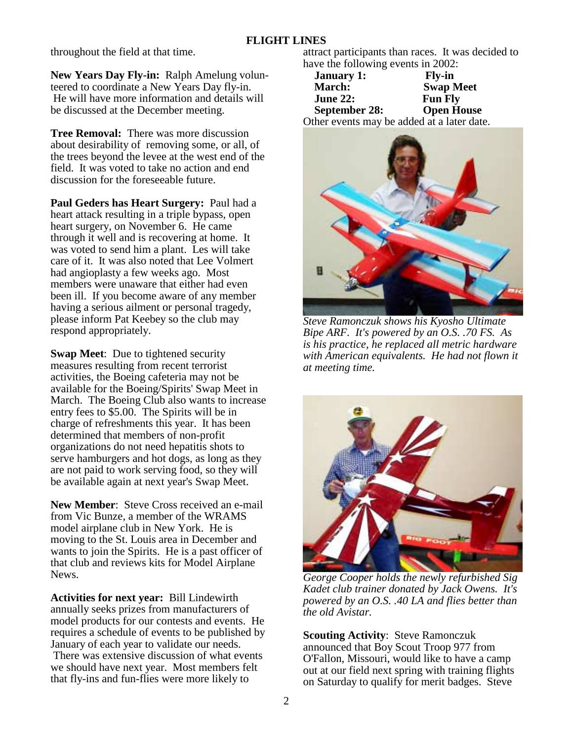throughout the field at that time.

**New Years Day Fly-in:** Ralph Amelung volunteered to coordinate a New Years Day fly-in. He will have more information and details will be discussed at the December meeting.

**Tree Removal:** There was more discussion about desirability of removing some, or all, of the trees beyond the levee at the west end of the field. It was voted to take no action and end discussion for the foreseeable future.

**Paul Geders has Heart Surgery:** Paul had a heart attack resulting in a triple bypass, open heart surgery, on November 6. He came through it well and is recovering at home. It was voted to send him a plant. Les will take care of it. It was also noted that Lee Volmert had angioplasty a few weeks ago. Most members were unaware that either had even been ill. If you become aware of any member having a serious ailment or personal tragedy, please inform Pat Keebey so the club may respond appropriately.

**Swap Meet:** Due to tightened security measures resulting from recent terrorist activities, the Boeing cafeteria may not be available for the Boeing/Spirits' Swap Meet in March. The Boeing Club also wants to increase entry fees to \$5.00. The Spirits will be in charge of refreshments this year. It has been determined that members of non-profit organizations do not need hepatitis shots to serve hamburgers and hot dogs, as long as they are not paid to work serving food, so they will be available again at next year's Swap Meet.

**New Member**: Steve Cross received an e-mail from Vic Bunze, a member of the WRAMS model airplane club in New York. He is moving to the St. Louis area in December and wants to join the Spirits. He is a past officer of that club and reviews kits for Model Airplane News.

**Activities for next year:** Bill Lindewirth annually seeks prizes from manufacturers of model products for our contests and events. He requires a schedule of events to be published by January of each year to validate our needs. There was extensive discussion of what events we should have next year. Most members felt that fly-ins and fun-flies were more likely to

attract participants than races. It was decided to have the following events in 2002:

| <b>January 1:</b>                          | <b>Fly-in</b>     |
|--------------------------------------------|-------------------|
| <b>March:</b>                              | <b>Swap Meet</b>  |
| <b>June 22:</b>                            | <b>Fun Fly</b>    |
| <b>September 28:</b>                       | <b>Open House</b> |
| Other events may be added at a later date. |                   |
|                                            |                   |



*Steve Ramonczuk shows his Kyosho Ultimate Bipe ARF. It's powered by an O.S. .70 FS. As is his practice, he replaced all metric hardware with American equivalents. He had not flown it at meeting time.* 



*George Cooper holds the newly refurbished Sig Kadet club trainer donated by Jack Owens. It's powered by an O.S. .40 LA and flies better than the old Avistar.* 

**Scouting Activity**: Steve Ramonczuk announced that Boy Scout Troop 977 from O'Fallon, Missouri, would like to have a camp out at our field next spring with training flights on Saturday to qualify for merit badges. Steve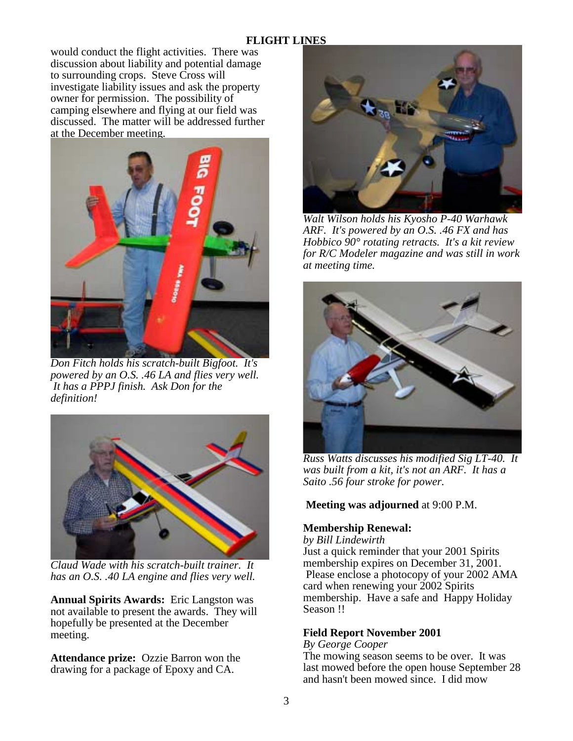would conduct the flight activities. There was discussion about liability and potential damage to surrounding crops. Steve Cross will investigate liability issues and ask the property owner for permission. The possibility of camping elsewhere and flying at our field was discussed. The matter will be addressed further at the December meeting.



*Don Fitch holds his scratch-built Bigfoot. It's powered by an O.S. .46 LA and flies very well. It has a PPPJ finish. Ask Don for the definition!* 



*Claud Wade with his scratch-built trainer. It has an O.S. .40 LA engine and flies very well.* 

**Annual Spirits Awards:** Eric Langston was not available to present the awards. They will hopefully be presented at the December meeting.

**Attendance prize:** Ozzie Barron won the drawing for a package of Epoxy and CA.



*Walt Wilson holds his Kyosho P-40 Warhawk ARF. It's powered by an O.S. .46 FX and has Hobbico 90° rotating retracts. It's a kit review for R/C Modeler magazine and was still in work at meeting time.* 



*Russ Watts discusses his modified Sig LT-40. It was built from a kit, it's not an ARF. It has a Saito .56 four stroke for power.* 

## **Meeting was adjourned** at 9:00 P.M.

## **Membership Renewal:**

*by Bill Lindewirth*

Just a quick reminder that your 2001 Spirits membership expires on December 31, 2001. Please enclose a photocopy of your 2002 AMA card when renewing your 2002 Spirits membership. Have a safe and Happy Holiday Season !!

# **Field Report November 2001**

*By George Cooper*

The mowing season seems to be over. It was last mowed before the open house September 28 and hasn't been mowed since. I did mow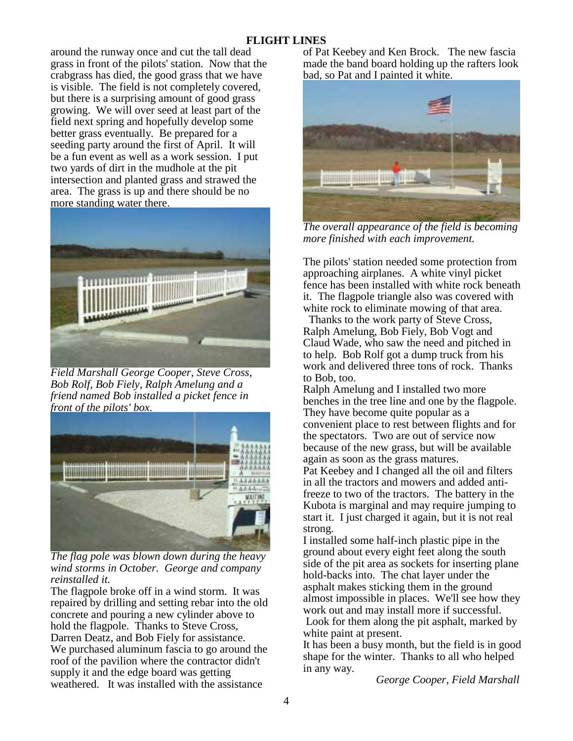around the runway once and cut the tall dead grass in front of the pilots' station. Now that the crabgrass has died, the good grass that we have is visible. The field is not completely covered, but there is a surprising amount of good grass growing. We will over seed at least part of the field next spring and hopefully develop some better grass eventually. Be prepared for a seeding party around the first of April. It will be a fun event as well as a work session. I put two yards of dirt in the mudhole at the pit intersection and planted grass and strawed the area. The grass is up and there should be no more standing water there.



*Field Marshall George Cooper, Steve Cross, Bob Rolf, Bob Fiely, Ralph Amelung and a friend named Bob installed a picket fence in front of the pilots' box.* 



*The flag pole was blown down during the heavy wind storms in October. George and company reinstalled it.* 

The flagpole broke off in a wind storm. It was repaired by drilling and setting rebar into the old concrete and pouring a new cylinder above to hold the flagpole. Thanks to Steve Cross, Darren Deatz, and Bob Fiely for assistance. We purchased aluminum fascia to go around the roof of the pavilion where the contractor didn't supply it and the edge board was getting weathered. It was installed with the assistance

of Pat Keebey and Ken Brock. The new fascia made the band board holding up the rafters look bad, so Pat and I painted it white.



*The overall appearance of the field is becoming more finished with each improvement.* 

The pilots' station needed some protection from approaching airplanes. A white vinyl picket fence has been installed with white rock beneath it. The flagpole triangle also was covered with white rock to eliminate mowing of that area.

 Thanks to the work party of Steve Cross, Ralph Amelung, Bob Fiely, Bob Vogt and Claud Wade, who saw the need and pitched in to help. Bob Rolf got a dump truck from his work and delivered three tons of rock. Thanks to Bob, too.

Ralph Amelung and I installed two more benches in the tree line and one by the flagpole. They have become quite popular as a convenient place to rest between flights and for the spectators. Two are out of service now because of the new grass, but will be available again as soon as the grass matures. Pat Keebey and I changed all the oil and filters in all the tractors and mowers and added antifreeze to two of the tractors. The battery in the Kubota is marginal and may require jumping to start it. I just charged it again, but it is not real strong.

I installed some half-inch plastic pipe in the ground about every eight feet along the south side of the pit area as sockets for inserting plane hold-backs into. The chat layer under the asphalt makes sticking them in the ground almost impossible in places. We'll see how they work out and may install more if successful. Look for them along the pit asphalt, marked by white paint at present.

It has been a busy month, but the field is in good shape for the winter. Thanks to all who helped in any way.

*George Cooper, Field Marshall*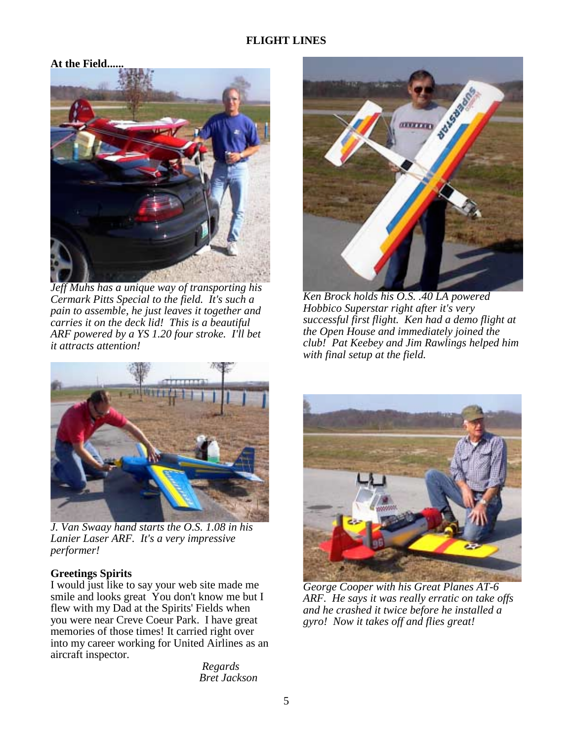#### **At the Field......**



*Jeff Muhs has a unique way of transporting his Cermark Pitts Special to the field. It's such a pain to assemble, he just leaves it together and carries it on the deck lid! This is a beautiful ARF powered by a YS 1.20 four stroke. I'll bet it attracts attention!* 



*Ken Brock holds his O.S. .40 LA powered Hobbico Superstar right after it's very successful first flight. Ken had a demo flight at the Open House and immediately joined the club! Pat Keebey and Jim Rawlings helped him with final setup at the field.* 



*J. Van Swaay hand starts the O.S. 1.08 in his Lanier Laser ARF. It's a very impressive performer!* 

## **Greetings Spirits**

I would just like to say your web site made me smile and looks great You don't know me but I flew with my Dad at the Spirits' Fields when you were near Creve Coeur Park. I have great memories of those times! It carried right over into my career working for United Airlines as an aircraft inspector.

> *Regards Bret Jackson*



*George Cooper with his Great Planes AT-6 ARF. He says it was really erratic on take offs and he crashed it twice before he installed a gyro! Now it takes off and flies great!*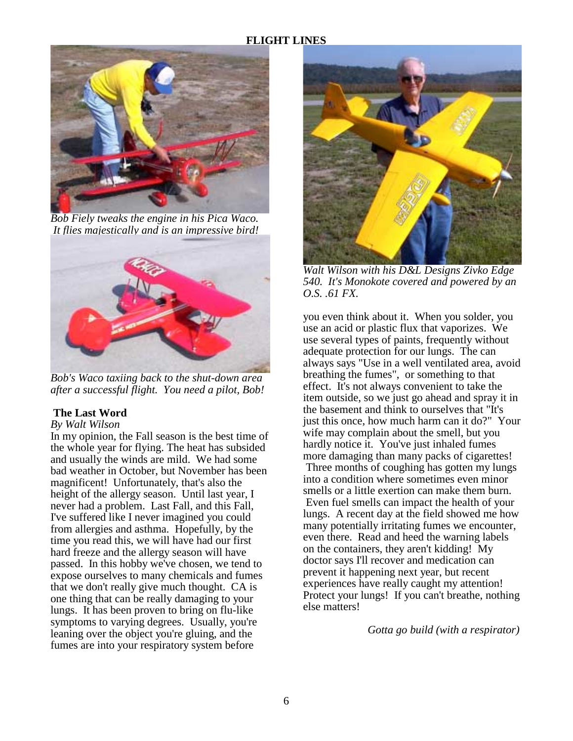

*Bob Fiely tweaks the engine in his Pica Waco. It flies majestically and is an impressive bird!* 



*Bob's Waco taxiing back to the shut-down area after a successful flight. You need a pilot, Bob!* 

#### **The Last Word**

# *By Walt Wilson*

In my opinion, the Fall season is the best time of the whole year for flying. The heat has subsided and usually the winds are mild. We had some bad weather in October, but November has been magnificent! Unfortunately, that's also the height of the allergy season. Until last year, I never had a problem. Last Fall, and this Fall, I've suffered like I never imagined you could from allergies and asthma. Hopefully, by the time you read this, we will have had our first hard freeze and the allergy season will have passed. In this hobby we've chosen, we tend to expose ourselves to many chemicals and fumes that we don't really give much thought. CA is one thing that can be really damaging to your lungs. It has been proven to bring on flu-like symptoms to varying degrees. Usually, you're leaning over the object you're gluing, and the fumes are into your respiratory system before



*Walt Wilson with his D&L Designs Zivko Edge 540. It's Monokote covered and powered by an O.S. .61 FX.* 

you even think about it. When you solder, you use an acid or plastic flux that vaporizes. We use several types of paints, frequently without adequate protection for our lungs. The can always says "Use in a well ventilated area, avoid breathing the fumes", or something to that effect. It's not always convenient to take the item outside, so we just go ahead and spray it in the basement and think to ourselves that "It's just this once, how much harm can it do?" Your wife may complain about the smell, but you hardly notice it. You've just inhaled fumes more damaging than many packs of cigarettes! Three months of coughing has gotten my lungs into a condition where sometimes even minor smells or a little exertion can make them burn. Even fuel smells can impact the health of your lungs. A recent day at the field showed me how many potentially irritating fumes we encounter, even there. Read and heed the warning labels on the containers, they aren't kidding! My doctor says I'll recover and medication can prevent it happening next year, but recent experiences have really caught my attention! Protect your lungs! If you can't breathe, nothing else matters!

*Gotta go build (with a respirator)*